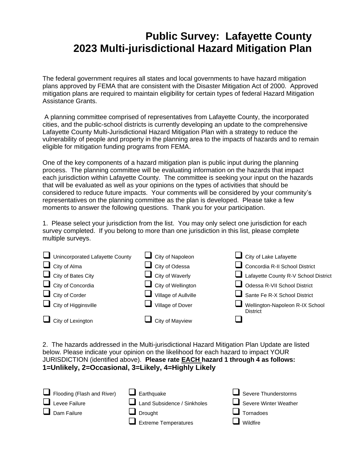## **Public Survey: Lafayette County 2023 Multi-jurisdictional Hazard Mitigation Plan**

The federal government requires all states and local governments to have hazard mitigation plans approved by FEMA that are consistent with the Disaster Mitigation Act of 2000. Approved mitigation plans are required to maintain eligibility for certain types of federal Hazard Mitigation Assistance Grants.

A planning committee comprised of representatives from Lafayette County, the incorporated cities, and the public-school districts is currently developing an update to the comprehensive Lafayette County Multi-Jurisdictional Hazard Mitigation Plan with a strategy to reduce the vulnerability of people and property in the planning area to the impacts of hazards and to remain eligible for mitigation funding programs from FEMA.

One of the key components of a hazard mitigation plan is public input during the planning process. The planning committee will be evaluating information on the hazards that impact each jurisdiction within Lafayette County. The committee is seeking your input on the hazards that will be evaluated as well as your opinions on the types of activities that should be considered to reduce future impacts. Your comments will be considered by your community's representatives on the planning committee as the plan is developed. Please take a few moments to answer the following questions. Thank you for your participation.

1. Please select your jurisdiction from the list. You may only select one jurisdiction for each survey completed. If you belong to more than one jurisdiction in this list, please complete multiple surveys.

| Unincorporated Lafayette County | $\Box$ City of Napoleon             | $\Box$ City of Lake Lafayette                      |
|---------------------------------|-------------------------------------|----------------------------------------------------|
| $\Box$ City of Alma             | $\Box$ City of Odessa               | Concordia R-II School District                     |
| $\Box$ City of Bates City       | $\Box$ City of Waverly              | Lafayette County R-V School District               |
| $\Box$ City of Concordia        | $\Box$ City of Wellington           | Odessa R-VII School District                       |
| $\Box$ City of Corder           | $\blacksquare$ Village of Aullville | Sante Fe R-X School District                       |
| $\Box$ City of Higginsville     | Village of Dover                    | Wellington-Napoleon R-IX School<br><b>District</b> |
| $\Box$ City of Lexington        | City of Mayview                     |                                                    |

2. The hazards addressed in the Multi-jurisdictional Hazard Mitigation Plan Update are listed below. Please indicate your opinion on the likelihood for each hazard to impact YOUR JURISDICTION (identified above). **Please rate EACH hazard 1 through 4 as follows: 1=Unlikely, 2=Occasional, 3=Likely, 4=Highly Likely**

| Flooding (Flash and River) | $\Box$ Earthquake           | $\Box$ Severe Thunderstorms |
|----------------------------|-----------------------------|-----------------------------|
| $\Box$ Levee Failure       | Land Subsidence / Sinkholes | Severe Winter Weather       |
| $\Box$ Dam Failure         | $\Box$ Drought              | $\Box$ Tornadoes            |
|                            | $\Box$ Extreme Temperatures | $\Box$ Wildfire             |